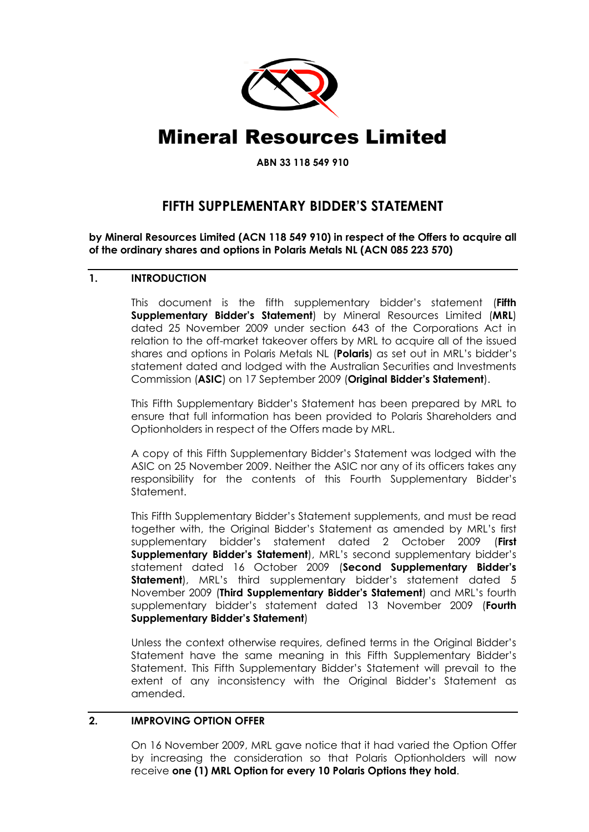

# Mineral Resources Limited

**ABN 33 118 549 910**

# **FIFTH SUPPLEMENTARY BIDDER'S STATEMENT**

**by Mineral Resources Limited (ACN 118 549 910) in respect of the Offers to acquire all of the ordinary shares and options in Polaris Metals NL (ACN 085 223 570)**

#### **1. INTRODUCTION**

This document is the fifth supplementary bidder's statement (**Fifth Supplementary Bidder's Statement**) by Mineral Resources Limited (**MRL**) dated 25 November 2009 under section 643 of the Corporations Act in relation to the off-market takeover offers by MRL to acquire all of the issued shares and options in Polaris Metals NL (**Polaris**) as set out in MRL's bidder's statement dated and lodged with the Australian Securities and Investments Commission (**ASIC**) on 17 September 2009 (**Original Bidder's Statement**).

This Fifth Supplementary Bidder's Statement has been prepared by MRL to ensure that full information has been provided to Polaris Shareholders and Optionholders in respect of the Offers made by MRL.

A copy of this Fifth Supplementary Bidder's Statement was lodged with the ASIC on 25 November 2009. Neither the ASIC nor any of its officers takes any responsibility for the contents of this Fourth Supplementary Bidder's Statement.

This Fifth Supplementary Bidder's Statement supplements, and must be read together with, the Original Bidder's Statement as amended by MRL's first supplementary bidder's statement dated 2 October 2009 (**First Supplementary Bidder's Statement**), MRL's second supplementary bidder's statement dated 16 October 2009 (**Second Supplementary Bidder's Statement**), MRL's third supplementary bidder's statement dated 5 November 2009 (**Third Supplementary Bidder's Statement**) and MRL's fourth supplementary bidder's statement dated 13 November 2009 (**Fourth Supplementary Bidder's Statement**)

Unless the context otherwise requires, defined terms in the Original Bidder's Statement have the same meaning in this Fifth Supplementary Bidder's Statement. This Fifth Supplementary Bidder's Statement will prevail to the extent of any inconsistency with the Original Bidder's Statement as amended.

# **2. IMPROVING OPTION OFFER**

On 16 November 2009, MRL gave notice that it had varied the Option Offer by increasing the consideration so that Polaris Optionholders will now receive **one (1) MRL Option for every 10 Polaris Options they hold**.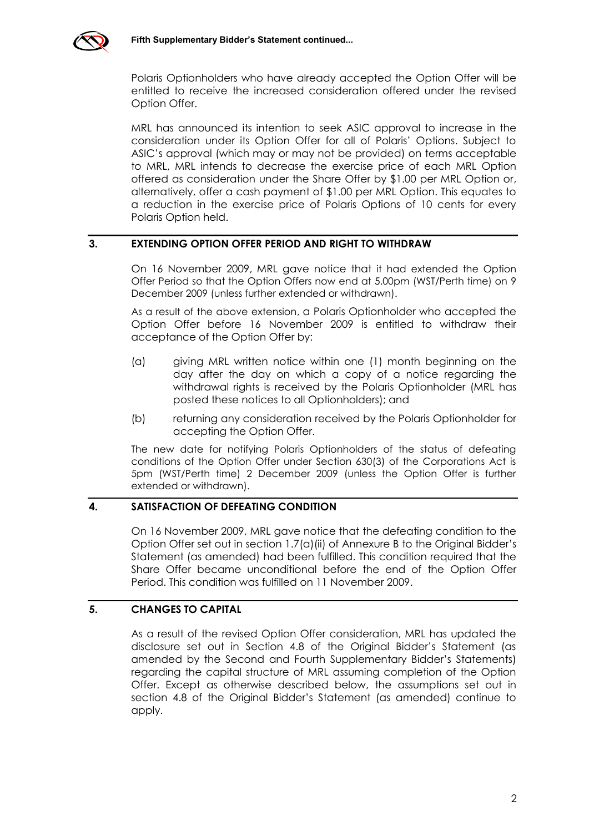

Polaris Optionholders who have already accepted the Option Offer will be entitled to receive the increased consideration offered under the revised Option Offer.

MRL has announced its intention to seek ASIC approval to increase in the consideration under its Option Offer for all of Polaris' Options. Subject to ASIC's approval (which may or may not be provided) on terms acceptable to MRL, MRL intends to decrease the exercise price of each MRL Option offered as consideration under the Share Offer by \$1.00 per MRL Option or, alternatively, offer a cash payment of \$1.00 per MRL Option. This equates to a reduction in the exercise price of Polaris Options of 10 cents for every Polaris Option held.

#### **3. EXTENDING OPTION OFFER PERIOD AND RIGHT TO WITHDRAW**

On 16 November 2009, MRL gave notice that it had extended the Option Offer Period so that the Option Offers now end at 5.00pm (WST/Perth time) on 9 December 2009 (unless further extended or withdrawn).

As a result of the above extension, a Polaris Optionholder who accepted the Option Offer before 16 November 2009 is entitled to withdraw their acceptance of the Option Offer by:

- (a) giving MRL written notice within one (1) month beginning on the day after the day on which a copy of a notice regarding the withdrawal rights is received by the Polaris Optionholder (MRL has posted these notices to all Optionholders); and
- (b) returning any consideration received by the Polaris Optionholder for accepting the Option Offer.

The new date for notifying Polaris Optionholders of the status of defeating conditions of the Option Offer under Section 630(3) of the Corporations Act is 5pm (WST/Perth time) 2 December 2009 (unless the Option Offer is further extended or withdrawn).

# **4. SATISFACTION OF DEFEATING CONDITION**

On 16 November 2009, MRL gave notice that the defeating condition to the Option Offer set out in section 1.7(a)(ii) of Annexure B to the Original Bidder's Statement (as amended) had been fulfilled. This condition required that the Share Offer became unconditional before the end of the Option Offer Period. This condition was fulfilled on 11 November 2009.

# **5. CHANGES TO CAPITAL**

As a result of the revised Option Offer consideration, MRL has updated the disclosure set out in Section 4.8 of the Original Bidder's Statement (as amended by the Second and Fourth Supplementary Bidder's Statements) regarding the capital structure of MRL assuming completion of the Option Offer. Except as otherwise described below, the assumptions set out in section 4.8 of the Original Bidder's Statement (as amended) continue to apply.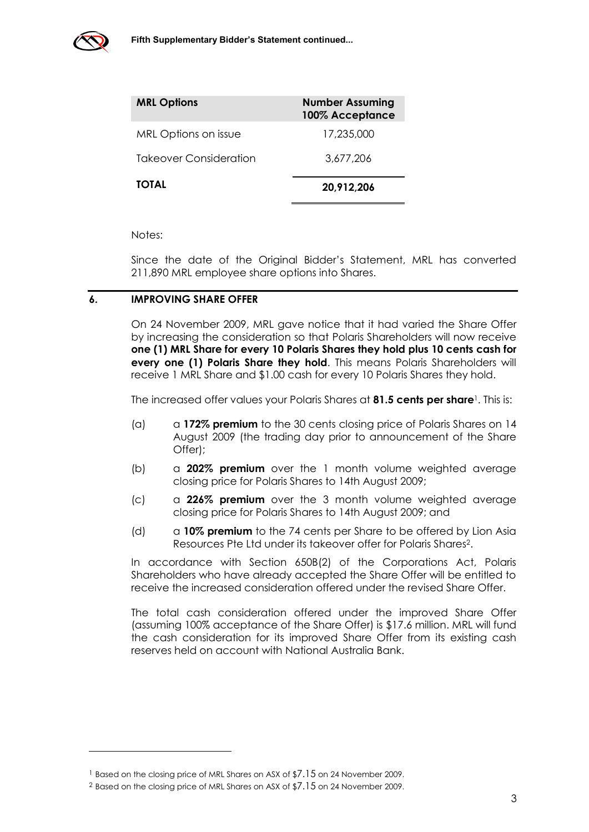

-

| <b>MRL Options</b>     | <b>Number Assuming</b><br>100% Acceptance |
|------------------------|-------------------------------------------|
| MRL Options on issue   | 17,235,000                                |
| Takeover Consideration | 3,677,206                                 |
| <b>TOTAL</b>           | 20,912,206                                |

Notes:

Since the date of the Original Bidder's Statement, MRL has converted 211,890 MRL employee share options into Shares.

# **6. IMPROVING SHARE OFFER**

On 24 November 2009, MRL gave notice that it had varied the Share Offer by increasing the consideration so that Polaris Shareholders will now receive **one (1) MRL Share for every 10 Polaris Shares they hold plus 10 cents cash for every one (1) Polaris Share they hold**. This means Polaris Shareholders will receive 1 MRL Share and \$1.00 cash for every 10 Polaris Shares they hold.

The increased offer values your Polaris Shares at **81.5 cents per share**1. This is:

- (a) a **172% premium** to the 30 cents closing price of Polaris Shares on 14 August 2009 (the trading day prior to announcement of the Share Offer);
- (b) a **202% premium** over the 1 month volume weighted average closing price for Polaris Shares to 14th August 2009;
- (c) a **226% premium** over the 3 month volume weighted average closing price for Polaris Shares to 14th August 2009; and
- (d) a **10% premium** to the 74 cents per Share to be offered by Lion Asia Resources Pte Ltd under its takeover offer for Polaris Shares2.

In accordance with Section 650B(2) of the Corporations Act, Polaris Shareholders who have already accepted the Share Offer will be entitled to receive the increased consideration offered under the revised Share Offer.

The total cash consideration offered under the improved Share Offer (assuming 100% acceptance of the Share Offer) is \$17.6 million. MRL will fund the cash consideration for its improved Share Offer from its existing cash reserves held on account with National Australia Bank.

<sup>&</sup>lt;sup>1</sup> Based on the closing price of MRL Shares on ASX of \$7.15 on 24 November 2009.

<sup>2</sup> Based on the closing price of MRL Shares on ASX of \$7.15 on 24 November 2009.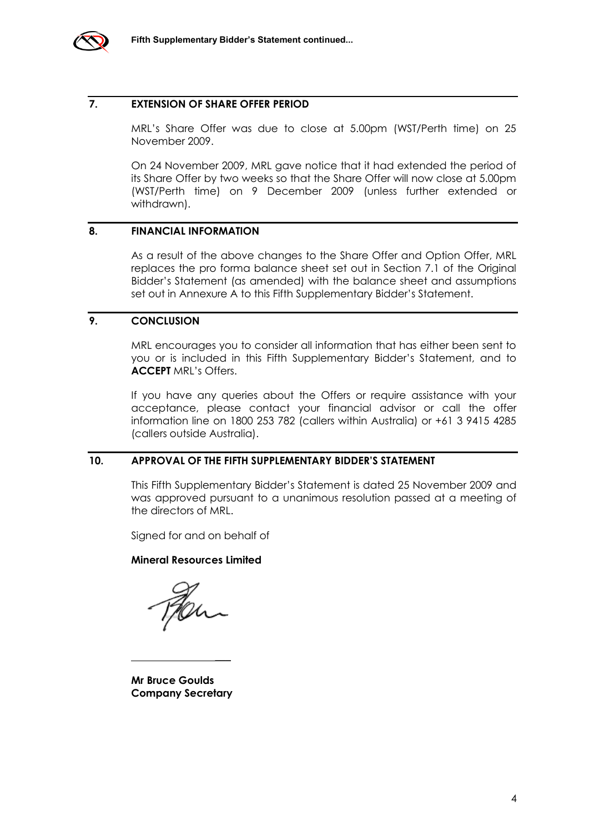

#### **7. EXTENSION OF SHARE OFFER PERIOD**

MRL's Share Offer was due to close at 5.00pm (WST/Perth time) on 25 November 2009.

On 24 November 2009, MRL gave notice that it had extended the period of its Share Offer by two weeks so that the Share Offer will now close at 5.00pm (WST/Perth time) on 9 December 2009 (unless further extended or withdrawn).

#### **8. FINANCIAL INFORMATION**

As a result of the above changes to the Share Offer and Option Offer, MRL replaces the pro forma balance sheet set out in Section 7.1 of the Original Bidder's Statement (as amended) with the balance sheet and assumptions set out in Annexure A to this Fifth Supplementary Bidder's Statement.

# **9. CONCLUSION**

MRL encourages you to consider all information that has either been sent to you or is included in this Fifth Supplementary Bidder's Statement, and to **ACCEPT** MRL's Offers.

If you have any queries about the Offers or require assistance with your acceptance, please contact your financial advisor or call the offer information line on 1800 253 782 (callers within Australia) or +61 3 9415 4285 (callers outside Australia).

#### **10. APPROVAL OF THE FIFTH SUPPLEMENTARY BIDDER'S STATEMENT**

This Fifth Supplementary Bidder's Statement is dated 25 November 2009 and was approved pursuant to a unanimous resolution passed at a meeting of the directors of MRL.

Signed for and on behalf of

#### **Mineral Resources Limited**

 $\overline{\phantom{a}}$ 

**Mr Bruce Goulds Company Secretary**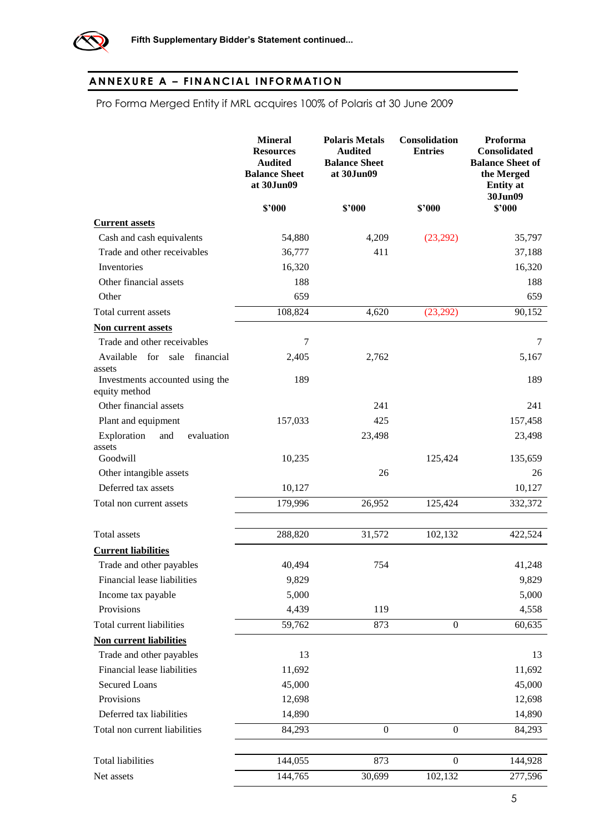

# **AN NEXU RE A – FI NANCIAL I NFOR MATIO N**

Pro Forma Merged Entity if MRL acquires 100% of Polaris at 30 June 2009

|                                                  | <b>Mineral</b><br><b>Resources</b><br><b>Audited</b><br><b>Balance Sheet</b><br>at 30Jun09 | <b>Polaris Metals</b><br><b>Audited</b><br><b>Balance Sheet</b><br>at 30Jun09 | Consolidation<br><b>Entries</b> | Proforma<br><b>Consolidated</b><br><b>Balance Sheet of</b><br>the Merged<br><b>Entity</b> at<br>30Jun09 |
|--------------------------------------------------|--------------------------------------------------------------------------------------------|-------------------------------------------------------------------------------|---------------------------------|---------------------------------------------------------------------------------------------------------|
|                                                  | \$2000                                                                                     | \$2000                                                                        | \$'000                          | \$2000                                                                                                  |
| <b>Current assets</b>                            |                                                                                            |                                                                               |                                 |                                                                                                         |
| Cash and cash equivalents                        | 54,880                                                                                     | 4,209                                                                         | (23,292)                        | 35,797                                                                                                  |
| Trade and other receivables                      | 36,777                                                                                     | 411                                                                           |                                 | 37,188                                                                                                  |
| Inventories                                      | 16,320                                                                                     |                                                                               |                                 | 16,320                                                                                                  |
| Other financial assets                           | 188                                                                                        |                                                                               |                                 | 188                                                                                                     |
| Other                                            | 659                                                                                        |                                                                               |                                 | 659                                                                                                     |
| Total current assets                             | 108,824                                                                                    | 4,620                                                                         | (23,292)                        | 90,152                                                                                                  |
| <b>Non current assets</b>                        |                                                                                            |                                                                               |                                 |                                                                                                         |
| Trade and other receivables                      | 7                                                                                          |                                                                               |                                 | 7                                                                                                       |
| Available<br>for sale financial<br>assets        | 2,405                                                                                      | 2,762                                                                         |                                 | 5,167                                                                                                   |
| Investments accounted using the<br>equity method | 189                                                                                        |                                                                               |                                 | 189                                                                                                     |
| Other financial assets                           |                                                                                            | 241                                                                           |                                 | 241                                                                                                     |
| Plant and equipment                              | 157,033                                                                                    | 425                                                                           |                                 | 157,458                                                                                                 |
| Exploration<br>evaluation<br>and<br>assets       |                                                                                            | 23,498                                                                        |                                 | 23,498                                                                                                  |
| Goodwill                                         | 10,235                                                                                     |                                                                               | 125,424                         | 135,659                                                                                                 |
| Other intangible assets                          |                                                                                            | 26                                                                            |                                 | 26                                                                                                      |
| Deferred tax assets                              | 10,127                                                                                     |                                                                               |                                 | 10,127                                                                                                  |
| Total non current assets                         | 179,996                                                                                    | 26,952                                                                        | 125,424                         | 332,372                                                                                                 |
| Total assets                                     | 288,820                                                                                    | 31,572                                                                        | 102,132                         | 422,524                                                                                                 |
| <b>Current liabilities</b>                       |                                                                                            |                                                                               |                                 |                                                                                                         |
| Trade and other payables                         | 40,494                                                                                     | 754                                                                           |                                 | 41,248                                                                                                  |
| Financial lease liabilities                      | 9,829                                                                                      |                                                                               |                                 | 9,829                                                                                                   |
| Income tax payable                               | 5,000                                                                                      |                                                                               |                                 | 5,000                                                                                                   |
| Provisions                                       | 4,439                                                                                      | 119                                                                           |                                 | 4,558                                                                                                   |
| Total current liabilities                        | 59,762                                                                                     | 873                                                                           | $\boldsymbol{0}$                | 60,635                                                                                                  |
| <b>Non current liabilities</b>                   |                                                                                            |                                                                               |                                 |                                                                                                         |
| Trade and other payables                         | 13                                                                                         |                                                                               |                                 | 13                                                                                                      |
| Financial lease liabilities                      | 11,692                                                                                     |                                                                               |                                 | 11,692                                                                                                  |
| <b>Secured Loans</b>                             | 45,000                                                                                     |                                                                               |                                 | 45,000                                                                                                  |
| Provisions                                       | 12,698                                                                                     |                                                                               |                                 | 12,698                                                                                                  |
| Deferred tax liabilities                         | 14,890                                                                                     |                                                                               |                                 | 14,890                                                                                                  |
| Total non current liabilities                    | 84,293                                                                                     | $\overline{0}$                                                                | $\overline{0}$                  | 84,293                                                                                                  |
| <b>Total liabilities</b>                         | 144,055                                                                                    | 873                                                                           | $\boldsymbol{0}$                | 144,928                                                                                                 |
| Net assets                                       | $\overline{1}$ 44,765                                                                      | 30,699                                                                        | 102,132                         | 277,596                                                                                                 |